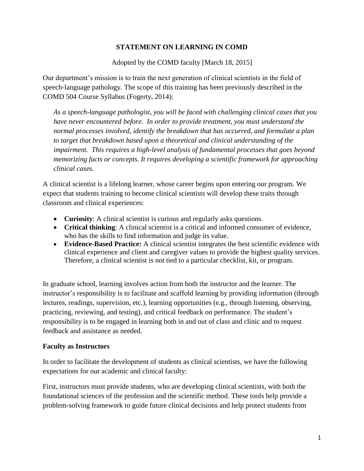## **STATEMENT ON LEARNING IN COMD**

Adopted by the COMD faculty [March 18, 2015]

Our department's mission is to train the next generation of clinical scientists in the field of speech-language pathology. The scope of this training has been previously described in the COMD 504 Course Syllabus (Fogerty, 2014):

*As a speech-language pathologist, you will be faced with challenging clinical cases that you have never encountered before. In order to provide treatment, you must understand the normal processes involved, identify the breakdown that has occurred, and formulate a plan to target that breakdown based upon a theoretical and clinical understanding of the impairment. This requires a high-level analysis of fundamental processes that goes beyond memorizing facts or concepts. It requires developing a scientific framework for approaching clinical cases.* 

A clinical scientist is a lifelong learner, whose career begins upon entering our program. We expect that students training to become clinical scientists will develop these traits through classroom and clinical experiences:

- **Curiosity**: A clinical scientist is curious and regularly asks questions.
- **Critical thinking**: A clinical scientist is a critical and informed consumer of evidence, who has the skills to find information and judge its value.
- **Evidence-Based Practice:** A clinical scientist integrates the best scientific evidence with clinical experience and client and caregiver values to provide the highest quality services. Therefore, a clinical scientist is not tied to a particular checklist, kit, or program.

In graduate school, learning involves action from both the instructor and the learner. The instructor's responsibility is to facilitate and scaffold learning by providing information (through lectures, readings, supervision, etc.), learning opportunities (e.g., through listening, observing, practicing, reviewing, and testing), and critical feedback on performance. The student's responsibility is to be engaged in learning both in and out of class and clinic and to request feedback and assistance as needed.

## **Faculty as Instructors**

In order to facilitate the development of students as clinical scientists, we have the following expectations for our academic and clinical faculty:

First, instructors must provide students, who are developing clinical scientists, with both the foundational sciences of the profession and the scientific method. These tools help provide a problem-solving framework to guide future clinical decisions and help protect students from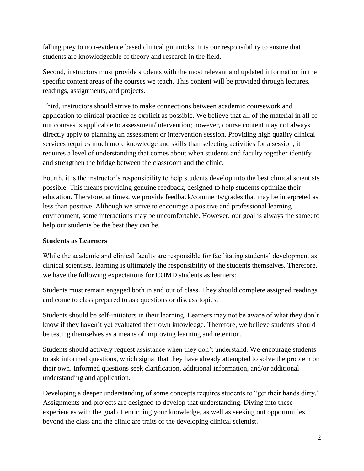falling prey to non-evidence based clinical gimmicks. It is our responsibility to ensure that students are knowledgeable of theory and research in the field.

Second, instructors must provide students with the most relevant and updated information in the specific content areas of the courses we teach. This content will be provided through lectures, readings, assignments, and projects.

Third, instructors should strive to make connections between academic coursework and application to clinical practice as explicit as possible. We believe that all of the material in all of our courses is applicable to assessment/intervention; however, course content may not always directly apply to planning an assessment or intervention session. Providing high quality clinical services requires much more knowledge and skills than selecting activities for a session; it requires a level of understanding that comes about when students and faculty together identify and strengthen the bridge between the classroom and the clinic.

Fourth, it is the instructor's responsibility to help students develop into the best clinical scientists possible. This means providing genuine feedback, designed to help students optimize their education. Therefore, at times, we provide feedback/comments/grades that may be interpreted as less than positive. Although we strive to encourage a positive and professional learning environment, some interactions may be uncomfortable. However, our goal is always the same: to help our students be the best they can be.

## **Students as Learners**

While the academic and clinical faculty are responsible for facilitating students' development as clinical scientists, learning is ultimately the responsibility of the students themselves. Therefore, we have the following expectations for COMD students as learners:

Students must remain engaged both in and out of class. They should complete assigned readings and come to class prepared to ask questions or discuss topics.

Students should be self-initiators in their learning. Learners may not be aware of what they don't know if they haven't yet evaluated their own knowledge. Therefore, we believe students should be testing themselves as a means of improving learning and retention.

Students should actively request assistance when they don't understand. We encourage students to ask informed questions, which signal that they have already attempted to solve the problem on their own. Informed questions seek clarification, additional information, and/or additional understanding and application.

Developing a deeper understanding of some concepts requires students to "get their hands dirty." Assignments and projects are designed to develop that understanding. Diving into these experiences with the goal of enriching your knowledge, as well as seeking out opportunities beyond the class and the clinic are traits of the developing clinical scientist.